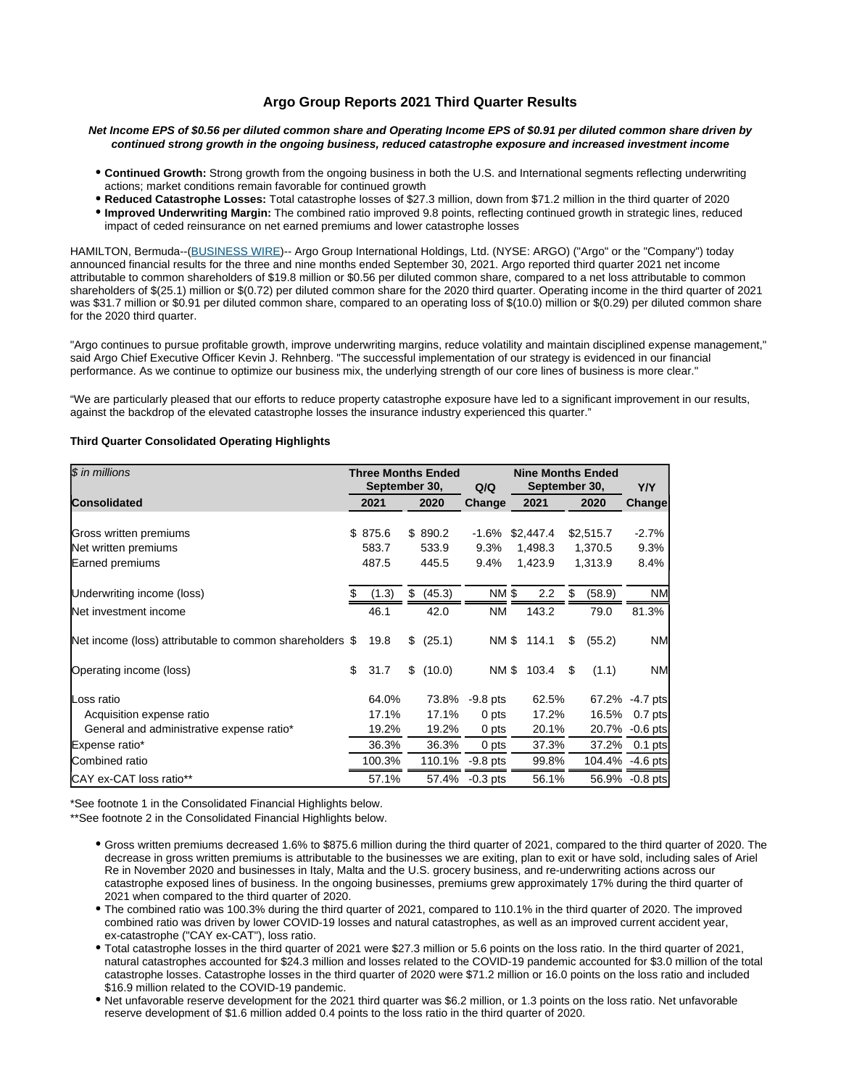# **Argo Group Reports 2021 Third Quarter Results**

### **Net Income EPS of \$0.56 per diluted common share and Operating Income EPS of \$0.91 per diluted common share driven by continued strong growth in the ongoing business, reduced catastrophe exposure and increased investment income**

- **Continued Growth:** Strong growth from the ongoing business in both the U.S. and International segments reflecting underwriting actions; market conditions remain favorable for continued growth
- **Reduced Catastrophe Losses:** Total catastrophe losses of \$27.3 million, down from \$71.2 million in the third quarter of 2020
- **Improved Underwriting Margin:** The combined ratio improved 9.8 points, reflecting continued growth in strategic lines, reduced impact of ceded reinsurance on net earned premiums and lower catastrophe losses

HAMILTON, Bermuda--[\(BUSINESS WIRE](http://www.businesswire.com))-- Argo Group International Holdings, Ltd. (NYSE: ARGO) ("Argo" or the "Company") today announced financial results for the three and nine months ended September 30, 2021. Argo reported third quarter 2021 net income attributable to common shareholders of \$19.8 million or \$0.56 per diluted common share, compared to a net loss attributable to common shareholders of \$(25.1) million or \$(0.72) per diluted common share for the 2020 third quarter. Operating income in the third quarter of 2021 was \$31.7 million or \$0.91 per diluted common share, compared to an operating loss of \$(10.0) million or \$(0.29) per diluted common share for the 2020 third quarter.

"Argo continues to pursue profitable growth, improve underwriting margins, reduce volatility and maintain disciplined expense management," said Argo Chief Executive Officer Kevin J. Rehnberg. "The successful implementation of our strategy is evidenced in our financial performance. As we continue to optimize our business mix, the underlying strength of our core lines of business is more clear."

"We are particularly pleased that our efforts to reduce property catastrophe exposure have led to a significant improvement in our results, against the backdrop of the elevated catastrophe losses the insurance industry experienced this quarter."

### **Third Quarter Consolidated Operating Highlights**

| \$ in millions                                           |    | <b>Three Months Ended</b><br>September 30, |      |           | Q/Q             | <b>Nine Months Ended</b><br>September 30, |             |      |           | Y/Y              |
|----------------------------------------------------------|----|--------------------------------------------|------|-----------|-----------------|-------------------------------------------|-------------|------|-----------|------------------|
| <b>Consolidated</b>                                      |    | 2021                                       | 2020 |           | Change          | 2021                                      |             | 2020 |           | Change           |
|                                                          |    |                                            |      |           |                 |                                           |             |      |           |                  |
| Gross written premiums                                   |    | \$875.6                                    |      | \$890.2   | $-1.6%$         |                                           | \$2,447.4   |      | \$2,515.7 | $-2.7%$          |
| Net written premiums                                     |    | 583.7                                      |      | 533.9     | 9.3%            |                                           | 1,498.3     |      | 1,370.5   | 9.3%             |
| Earned premiums                                          |    | 487.5                                      |      | 445.5     | 9.4%            |                                           | 1,423.9     |      | 1,313.9   | 8.4%             |
| Underwriting income (loss)                               | S  | (1.3)                                      | \$   | (45.3)    | NM \$           |                                           | 2.2         | \$   | (58.9)    | <b>NM</b>        |
| Net investment income                                    |    | 46.1                                       |      | 42.0      | NM.             |                                           | 143.2       |      | 79.0      | 81.3%            |
| Net income (loss) attributable to common shareholders \$ |    | 19.8                                       |      | \$ (25.1) |                 |                                           | NM \$ 114.1 | \$   | (55.2)    | <b>NM</b>        |
| Operating income (loss)                                  | \$ | 31.7                                       |      | \$(10.0)  | NM \$           |                                           | 103.4       | \$   | (1.1)     | <b>NM</b>        |
| Loss ratio                                               |    | 64.0%                                      |      | 73.8%     | $-9.8$ pts      |                                           | 62.5%       |      | 67.2%     | $-4.7$ pts       |
| Acquisition expense ratio                                |    | 17.1%                                      |      | 17.1%     | 0 pts           |                                           | 17.2%       |      | 16.5%     | $0.7$ pts        |
| General and administrative expense ratio*                |    | 19.2%                                      |      | 19.2%     | 0 pts           |                                           | 20.1%       |      | 20.7%     | $-0.6$ pts       |
| Expense ratio*                                           |    | 36.3%                                      |      | 36.3%     | 0 pts           |                                           | 37.3%       |      | 37.2%     | $0.1$ pts        |
| Combined ratio                                           |    | 100.3%                                     |      | 110.1%    | -9.8 pts        |                                           | 99.8%       |      |           | 104.4% - 4.6 pts |
| <b>ICAY ex-CAT loss ratio**</b>                          |    | 57.1%                                      |      |           | 57.4% - 0.3 pts |                                           | 56.1%       |      |           | 56.9% - 0.8 pts  |

\*See footnote 1 in the Consolidated Financial Highlights below.

\*\*See footnote 2 in the Consolidated Financial Highlights below.

- Gross written premiums decreased 1.6% to \$875.6 million during the third quarter of 2021, compared to the third quarter of 2020. The decrease in gross written premiums is attributable to the businesses we are exiting, plan to exit or have sold, including sales of Ariel Re in November 2020 and businesses in Italy, Malta and the U.S. grocery business, and re-underwriting actions across our catastrophe exposed lines of business. In the ongoing businesses, premiums grew approximately 17% during the third quarter of 2021 when compared to the third quarter of 2020.
- The combined ratio was 100.3% during the third quarter of 2021, compared to 110.1% in the third quarter of 2020. The improved combined ratio was driven by lower COVID-19 losses and natural catastrophes, as well as an improved current accident year, ex-catastrophe ("CAY ex-CAT"), loss ratio.
- Total catastrophe losses in the third quarter of 2021 were \$27.3 million or 5.6 points on the loss ratio. In the third quarter of 2021, natural catastrophes accounted for \$24.3 million and losses related to the COVID-19 pandemic accounted for \$3.0 million of the total catastrophe losses. Catastrophe losses in the third quarter of 2020 were \$71.2 million or 16.0 points on the loss ratio and included \$16.9 million related to the COVID-19 pandemic.
- Net unfavorable reserve development for the 2021 third quarter was \$6.2 million, or 1.3 points on the loss ratio. Net unfavorable reserve development of \$1.6 million added 0.4 points to the loss ratio in the third quarter of 2020.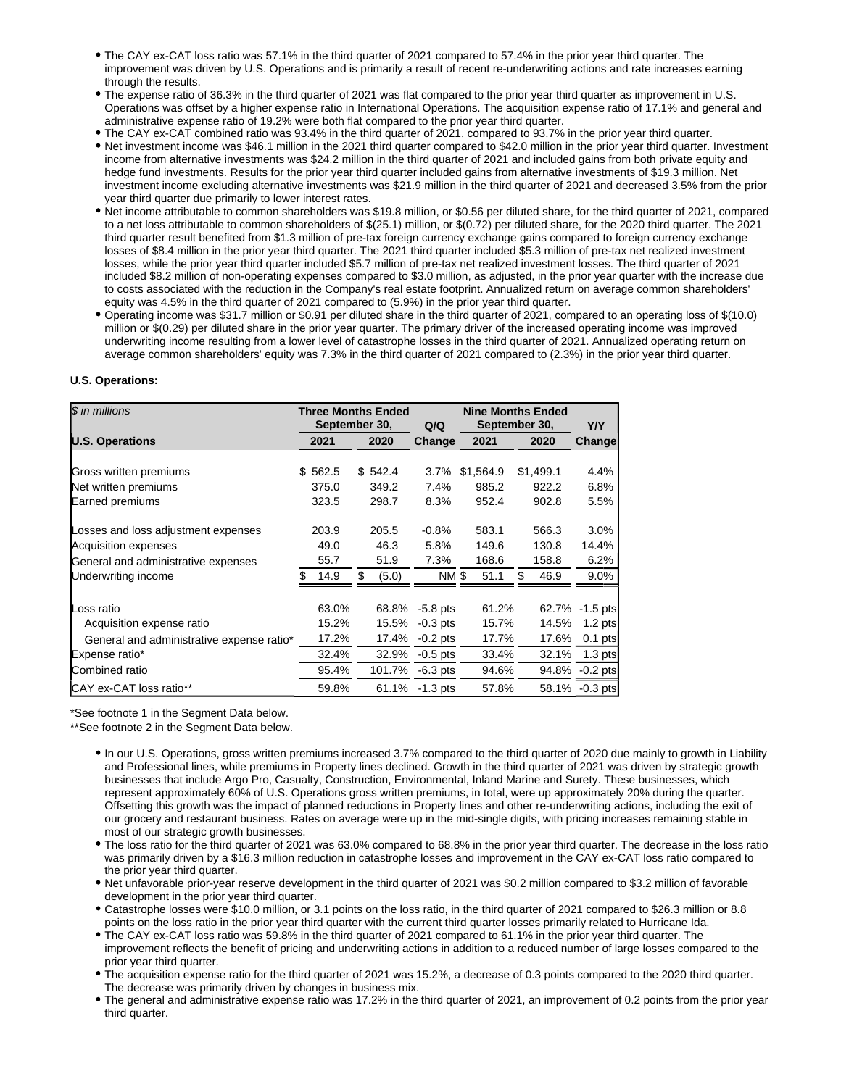- The CAY ex-CAT loss ratio was 57.1% in the third quarter of 2021 compared to 57.4% in the prior year third quarter. The improvement was driven by U.S. Operations and is primarily a result of recent re-underwriting actions and rate increases earning through the results.
- The expense ratio of 36.3% in the third quarter of 2021 was flat compared to the prior year third quarter as improvement in U.S. Operations was offset by a higher expense ratio in International Operations. The acquisition expense ratio of 17.1% and general and administrative expense ratio of 19.2% were both flat compared to the prior year third quarter.
- The CAY ex-CAT combined ratio was 93.4% in the third quarter of 2021, compared to 93.7% in the prior year third quarter.
- Net investment income was \$46.1 million in the 2021 third quarter compared to \$42.0 million in the prior year third quarter. Investment income from alternative investments was \$24.2 million in the third quarter of 2021 and included gains from both private equity and hedge fund investments. Results for the prior year third quarter included gains from alternative investments of \$19.3 million. Net investment income excluding alternative investments was \$21.9 million in the third quarter of 2021 and decreased 3.5% from the prior year third quarter due primarily to lower interest rates.
- Net income attributable to common shareholders was \$19.8 million, or \$0.56 per diluted share, for the third quarter of 2021, compared to a net loss attributable to common shareholders of \$(25.1) million, or \$(0.72) per diluted share, for the 2020 third quarter. The 2021 third quarter result benefited from \$1.3 million of pre-tax foreign currency exchange gains compared to foreign currency exchange losses of \$8.4 million in the prior year third quarter. The 2021 third quarter included \$5.3 million of pre-tax net realized investment losses, while the prior year third quarter included \$5.7 million of pre-tax net realized investment losses. The third quarter of 2021 included \$8.2 million of non-operating expenses compared to \$3.0 million, as adjusted, in the prior year quarter with the increase due to costs associated with the reduction in the Company's real estate footprint. Annualized return on average common shareholders' equity was 4.5% in the third quarter of 2021 compared to (5.9%) in the prior year third quarter.
- Operating income was \$31.7 million or \$0.91 per diluted share in the third quarter of 2021, compared to an operating loss of \$(10.0) million or \$(0.29) per diluted share in the prior year quarter. The primary driver of the increased operating income was improved underwriting income resulting from a lower level of catastrophe losses in the third quarter of 2021. Annualized operating return on average common shareholders' equity was 7.3% in the third quarter of 2021 compared to (2.3%) in the prior year third quarter.

### **U.S. Operations:**

| \$ in millions                            |              | <b>Three Months Ended</b><br>September 30, | <b>Nine Months Ended</b><br>September 30,<br>Q/Q |           |           | <b>Y/Y</b>      |
|-------------------------------------------|--------------|--------------------------------------------|--------------------------------------------------|-----------|-----------|-----------------|
| <b>U.S. Operations</b>                    | 2021         | 2020                                       | Change                                           | 2021      | 2020      | Change          |
|                                           |              |                                            |                                                  |           |           |                 |
| Gross written premiums                    | 562.5<br>\$. | \$542.4                                    | $3.7\%$                                          | \$1,564.9 | \$1,499.1 | 4.4%            |
| Net written premiums                      | 375.0        | 349.2                                      | 7.4%                                             | 985.2     | 922.2     | 6.8%            |
| Earned premiums                           | 323.5        | 298.7                                      | 8.3%                                             | 952.4     | 902.8     | 5.5%            |
| Losses and loss adjustment expenses       | 203.9        | 205.5                                      | $-0.8%$                                          | 583.1     | 566.3     | 3.0%            |
| <b>Acquisition expenses</b>               | 49.0         | 46.3                                       | 5.8%                                             | 149.6     | 130.8     | 14.4%           |
| General and administrative expenses       | 55.7         | 51.9                                       | 7.3%                                             | 168.6     | 158.8     | 6.2%            |
| Underwriting income                       | 14.9<br>\$.  | \$<br>(5.0)                                | <b>NM \$</b>                                     | 51.1      | 46.9<br>S | $9.0\%$         |
|                                           |              |                                            |                                                  |           |           |                 |
| Loss ratio                                | 63.0%        | 68.8%                                      | $-5.8$ pts                                       | 61.2%     |           | 62.7% -1.5 pts  |
| Acquisition expense ratio                 | 15.2%        | 15.5%                                      | $-0.3$ pts                                       | 15.7%     | 14.5%     | $1.2$ pts       |
| General and administrative expense ratio* | 17.2%        | 17.4%                                      | $-0.2$ pts                                       | 17.7%     | 17.6%     | $0.1$ pts       |
| Expense ratio*                            | 32.4%        | 32.9%                                      | $-0.5$ pts                                       | 33.4%     | 32.1%     | $1.3$ pts       |
| Combined ratio                            | 95.4%        | 101.7%                                     | $-6.3$ pts                                       | 94.6%     | 94.8%     | $-0.2$ pts      |
| CAY ex-CAT loss ratio**                   | 59.8%        |                                            | 61.1% - 1.3 pts                                  | 57.8%     |           | 58.1% - 0.3 pts |

\*See footnote 1 in the Segment Data below.

\*\*See footnote 2 in the Segment Data below.

- In our U.S. Operations, gross written premiums increased 3.7% compared to the third quarter of 2020 due mainly to growth in Liability and Professional lines, while premiums in Property lines declined. Growth in the third quarter of 2021 was driven by strategic growth businesses that include Argo Pro, Casualty, Construction, Environmental, Inland Marine and Surety. These businesses, which represent approximately 60% of U.S. Operations gross written premiums, in total, were up approximately 20% during the quarter. Offsetting this growth was the impact of planned reductions in Property lines and other re-underwriting actions, including the exit of our grocery and restaurant business. Rates on average were up in the mid-single digits, with pricing increases remaining stable in most of our strategic growth businesses.
- The loss ratio for the third quarter of 2021 was 63.0% compared to 68.8% in the prior year third quarter. The decrease in the loss ratio was primarily driven by a \$16.3 million reduction in catastrophe losses and improvement in the CAY ex-CAT loss ratio compared to the prior year third quarter.
- Net unfavorable prior-year reserve development in the third quarter of 2021 was \$0.2 million compared to \$3.2 million of favorable development in the prior year third quarter.
- Catastrophe losses were \$10.0 million, or 3.1 points on the loss ratio, in the third quarter of 2021 compared to \$26.3 million or 8.8 points on the loss ratio in the prior year third quarter with the current third quarter losses primarily related to Hurricane Ida.
- The CAY ex-CAT loss ratio was 59.8% in the third quarter of 2021 compared to 61.1% in the prior year third quarter. The improvement reflects the benefit of pricing and underwriting actions in addition to a reduced number of large losses compared to the prior year third quarter.
- The acquisition expense ratio for the third quarter of 2021 was 15.2%, a decrease of 0.3 points compared to the 2020 third quarter. The decrease was primarily driven by changes in business mix.
- The general and administrative expense ratio was 17.2% in the third quarter of 2021, an improvement of 0.2 points from the prior year third quarter.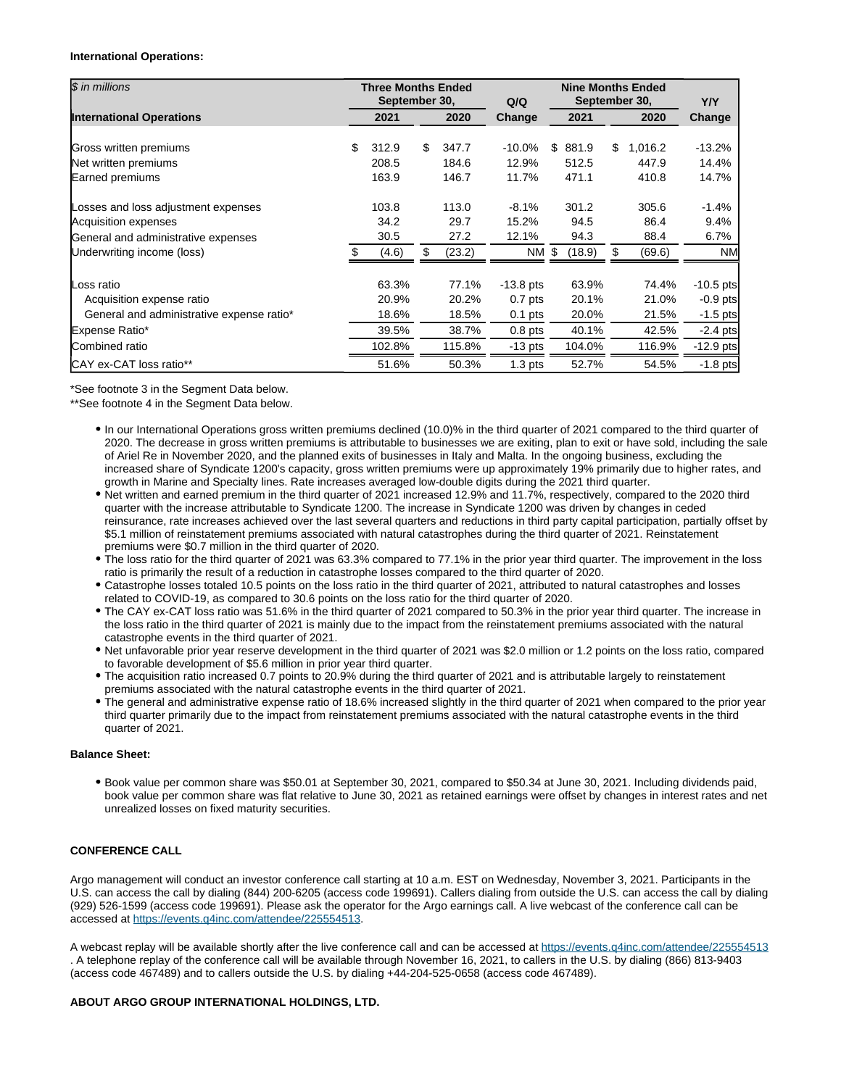### **International Operations:**

| \$ in millions                                                    | <b>Three Months Ended</b><br>September 30, |     |                | Q/Q                   | <b>Nine Months Ended</b><br>September 30, |                |    |                | <b>Y/Y</b>           |
|-------------------------------------------------------------------|--------------------------------------------|-----|----------------|-----------------------|-------------------------------------------|----------------|----|----------------|----------------------|
| <b>International Operations</b>                                   | 2021                                       |     | 2020           | Change                | 2021                                      |                |    | 2020           | Change               |
| Gross written premiums                                            | \$<br>312.9                                | \$  | 347.7          | $-10.0\%$             | \$                                        | 881.9          | \$ | 1,016.2        | $-13.2%$             |
| Net written premiums<br>Earned premiums                           | 208.5<br>163.9                             |     | 184.6<br>146.7 | 12.9%<br>11.7%        |                                           | 512.5<br>471.1 |    | 447.9<br>410.8 | 14.4%<br>14.7%       |
| Losses and loss adjustment expenses                               | 103.8                                      |     | 113.0          | $-8.1%$               |                                           | 301.2          |    | 305.6          | $-1.4%$              |
| <b>Acquisition expenses</b>                                       | 34.2                                       |     | 29.7           | 15.2%                 |                                           | 94.5           |    | 86.4           | 9.4%                 |
| General and administrative expenses<br>Underwriting income (loss) | 30.5<br>(4.6)                              | \$. | 27.2<br>(23.2) | 12.1%<br><b>NM \$</b> |                                           | 94.3<br>(18.9) |    | 88.4<br>(69.6) | $6.7\%$<br><b>NM</b> |
|                                                                   |                                            |     |                |                       |                                           |                |    |                |                      |
| Loss ratio                                                        | 63.3%                                      |     | 77.1%          | $-13.8$ pts           |                                           | 63.9%          |    | 74.4%          | $-10.5$ pts          |
| Acquisition expense ratio                                         | 20.9%                                      |     | 20.2%          | $0.7$ pts             |                                           | 20.1%          |    | 21.0%          | $-0.9$ pts           |
| General and administrative expense ratio*                         | 18.6%                                      |     | 18.5%          | $0.1$ pts             |                                           | 20.0%          |    | 21.5%          | $-1.5$ pts           |
| Expense Ratio*                                                    | 39.5%                                      |     | 38.7%          | $0.8$ pts             |                                           | 40.1%          |    | 42.5%          | $-2.4$ pts           |
| Combined ratio                                                    | 102.8%                                     |     | 115.8%         | $-13$ pts             |                                           | 104.0%         |    | 116.9%         | $-12.9$ pts          |
| CAY ex-CAT loss ratio**                                           | 51.6%                                      |     | 50.3%          | $1.3$ pts             |                                           | 52.7%          |    | 54.5%          | $-1.8$ pts           |

\*See footnote 3 in the Segment Data below.

\*\*See footnote 4 in the Segment Data below.

- In our International Operations gross written premiums declined (10.0)% in the third quarter of 2021 compared to the third quarter of 2020. The decrease in gross written premiums is attributable to businesses we are exiting, plan to exit or have sold, including the sale of Ariel Re in November 2020, and the planned exits of businesses in Italy and Malta. In the ongoing business, excluding the increased share of Syndicate 1200's capacity, gross written premiums were up approximately 19% primarily due to higher rates, and growth in Marine and Specialty lines. Rate increases averaged low-double digits during the 2021 third quarter.
- Net written and earned premium in the third quarter of 2021 increased 12.9% and 11.7%, respectively, compared to the 2020 third quarter with the increase attributable to Syndicate 1200. The increase in Syndicate 1200 was driven by changes in ceded reinsurance, rate increases achieved over the last several quarters and reductions in third party capital participation, partially offset by \$5.1 million of reinstatement premiums associated with natural catastrophes during the third quarter of 2021. Reinstatement premiums were \$0.7 million in the third quarter of 2020.
- The loss ratio for the third quarter of 2021 was 63.3% compared to 77.1% in the prior year third quarter. The improvement in the loss ratio is primarily the result of a reduction in catastrophe losses compared to the third quarter of 2020.
- Catastrophe losses totaled 10.5 points on the loss ratio in the third quarter of 2021, attributed to natural catastrophes and losses related to COVID-19, as compared to 30.6 points on the loss ratio for the third quarter of 2020.
- The CAY ex-CAT loss ratio was 51.6% in the third quarter of 2021 compared to 50.3% in the prior year third quarter. The increase in the loss ratio in the third quarter of 2021 is mainly due to the impact from the reinstatement premiums associated with the natural catastrophe events in the third quarter of 2021.
- Net unfavorable prior year reserve development in the third quarter of 2021 was \$2.0 million or 1.2 points on the loss ratio, compared to favorable development of \$5.6 million in prior year third quarter.
- The acquisition ratio increased 0.7 points to 20.9% during the third quarter of 2021 and is attributable largely to reinstatement premiums associated with the natural catastrophe events in the third quarter of 2021.
- The general and administrative expense ratio of 18.6% increased slightly in the third quarter of 2021 when compared to the prior year third quarter primarily due to the impact from reinstatement premiums associated with the natural catastrophe events in the third quarter of 2021.

## **Balance Sheet:**

Book value per common share was \$50.01 at September 30, 2021, compared to \$50.34 at June 30, 2021. Including dividends paid, book value per common share was flat relative to June 30, 2021 as retained earnings were offset by changes in interest rates and net unrealized losses on fixed maturity securities.

## **CONFERENCE CALL**

Argo management will conduct an investor conference call starting at 10 a.m. EST on Wednesday, November 3, 2021. Participants in the U.S. can access the call by dialing (844) 200-6205 (access code 199691). Callers dialing from outside the U.S. can access the call by dialing (929) 526-1599 (access code 199691). Please ask the operator for the Argo earnings call. A live webcast of the conference call can be accessed at<https://events.q4inc.com/attendee/225554513>.

A webcast replay will be available shortly after the live conference call and can be accessed at<https://events.q4inc.com/attendee/225554513> . A telephone replay of the conference call will be available through November 16, 2021, to callers in the U.S. by dialing (866) 813-9403 (access code 467489) and to callers outside the U.S. by dialing +44-204-525-0658 (access code 467489).

### **ABOUT ARGO GROUP INTERNATIONAL HOLDINGS, LTD.**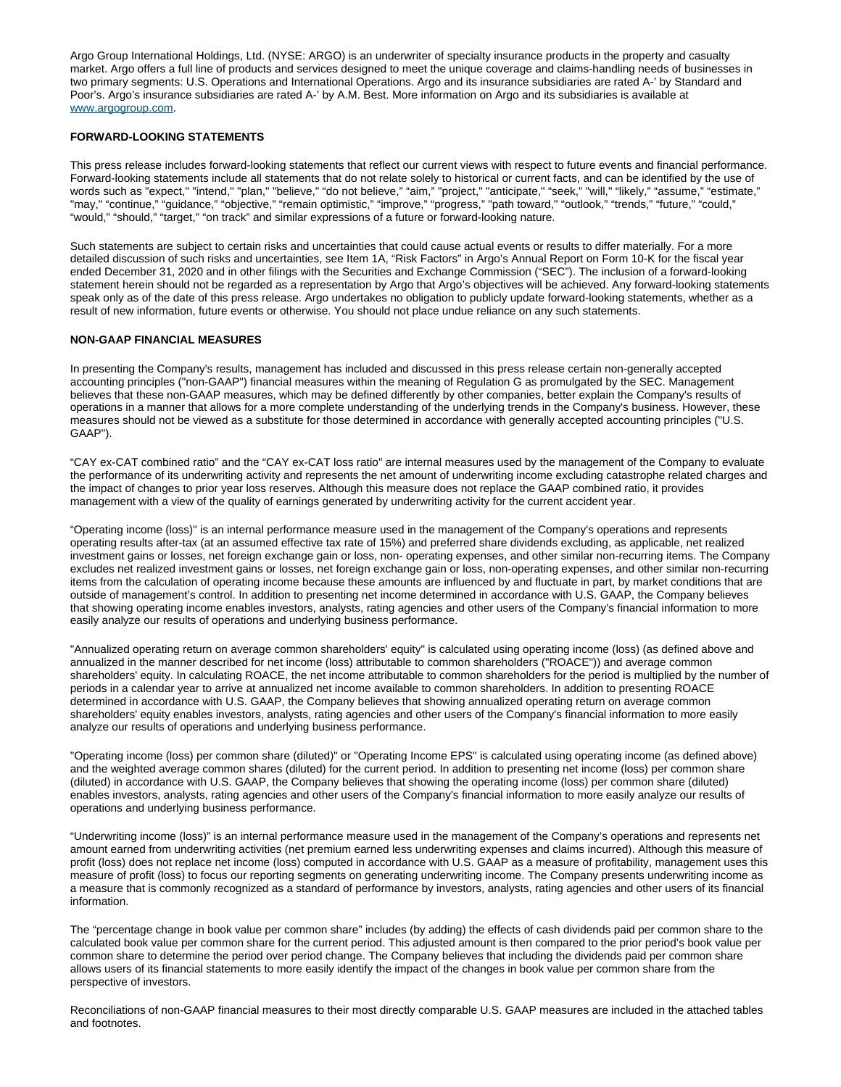Argo Group International Holdings, Ltd. (NYSE: ARGO) is an underwriter of specialty insurance products in the property and casualty market. Argo offers a full line of products and services designed to meet the unique coverage and claims-handling needs of businesses in two primary segments: U.S. Operations and International Operations. Argo and its insurance subsidiaries are rated A-' by Standard and Poor's. Argo's insurance subsidiaries are rated A-' by A.M. Best. More information on Argo and its subsidiaries is available at [www.argogroup.com](http://www.argogroup.com).

### **FORWARD-LOOKING STATEMENTS**

This press release includes forward-looking statements that reflect our current views with respect to future events and financial performance. Forward-looking statements include all statements that do not relate solely to historical or current facts, and can be identified by the use of words such as "expect," "intend," "plan," "believe," "do not believe," "aim," "project," "anticipate," "seek," "will," "likely," "assume," "estimate," "may," "continue," "guidance," "objective," "remain optimistic," "improve," "progress," "path toward," "outlook," "trends," "future," "could," "would," "should," "target," "on track" and similar expressions of a future or forward-looking nature.

Such statements are subject to certain risks and uncertainties that could cause actual events or results to differ materially. For a more detailed discussion of such risks and uncertainties, see Item 1A, "Risk Factors" in Argo's Annual Report on Form 10-K for the fiscal year ended December 31, 2020 and in other filings with the Securities and Exchange Commission ("SEC"). The inclusion of a forward-looking statement herein should not be regarded as a representation by Argo that Argo's objectives will be achieved. Any forward-looking statements speak only as of the date of this press release. Argo undertakes no obligation to publicly update forward-looking statements, whether as a result of new information, future events or otherwise. You should not place undue reliance on any such statements.

### **NON-GAAP FINANCIAL MEASURES**

In presenting the Company's results, management has included and discussed in this press release certain non-generally accepted accounting principles ("non-GAAP") financial measures within the meaning of Regulation G as promulgated by the SEC. Management believes that these non-GAAP measures, which may be defined differently by other companies, better explain the Company's results of operations in a manner that allows for a more complete understanding of the underlying trends in the Company's business. However, these measures should not be viewed as a substitute for those determined in accordance with generally accepted accounting principles ("U.S. GAAP").

"CAY ex-CAT combined ratio" and the "CAY ex-CAT loss ratio" are internal measures used by the management of the Company to evaluate the performance of its underwriting activity and represents the net amount of underwriting income excluding catastrophe related charges and the impact of changes to prior year loss reserves. Although this measure does not replace the GAAP combined ratio, it provides management with a view of the quality of earnings generated by underwriting activity for the current accident year.

"Operating income (loss)" is an internal performance measure used in the management of the Company's operations and represents operating results after-tax (at an assumed effective tax rate of 15%) and preferred share dividends excluding, as applicable, net realized investment gains or losses, net foreign exchange gain or loss, non- operating expenses, and other similar non-recurring items. The Company excludes net realized investment gains or losses, net foreign exchange gain or loss, non-operating expenses, and other similar non-recurring items from the calculation of operating income because these amounts are influenced by and fluctuate in part, by market conditions that are outside of management's control. In addition to presenting net income determined in accordance with U.S. GAAP, the Company believes that showing operating income enables investors, analysts, rating agencies and other users of the Company's financial information to more easily analyze our results of operations and underlying business performance.

"Annualized operating return on average common shareholders' equity" is calculated using operating income (loss) (as defined above and annualized in the manner described for net income (loss) attributable to common shareholders ("ROACE")) and average common shareholders' equity. In calculating ROACE, the net income attributable to common shareholders for the period is multiplied by the number of periods in a calendar year to arrive at annualized net income available to common shareholders. In addition to presenting ROACE determined in accordance with U.S. GAAP, the Company believes that showing annualized operating return on average common shareholders' equity enables investors, analysts, rating agencies and other users of the Company's financial information to more easily analyze our results of operations and underlying business performance.

"Operating income (loss) per common share (diluted)" or "Operating Income EPS" is calculated using operating income (as defined above) and the weighted average common shares (diluted) for the current period. In addition to presenting net income (loss) per common share (diluted) in accordance with U.S. GAAP, the Company believes that showing the operating income (loss) per common share (diluted) enables investors, analysts, rating agencies and other users of the Company's financial information to more easily analyze our results of operations and underlying business performance.

"Underwriting income (loss)" is an internal performance measure used in the management of the Company's operations and represents net amount earned from underwriting activities (net premium earned less underwriting expenses and claims incurred). Although this measure of profit (loss) does not replace net income (loss) computed in accordance with U.S. GAAP as a measure of profitability, management uses this measure of profit (loss) to focus our reporting segments on generating underwriting income. The Company presents underwriting income as a measure that is commonly recognized as a standard of performance by investors, analysts, rating agencies and other users of its financial information.

The "percentage change in book value per common share" includes (by adding) the effects of cash dividends paid per common share to the calculated book value per common share for the current period. This adjusted amount is then compared to the prior period's book value per common share to determine the period over period change. The Company believes that including the dividends paid per common share allows users of its financial statements to more easily identify the impact of the changes in book value per common share from the perspective of investors.

Reconciliations of non-GAAP financial measures to their most directly comparable U.S. GAAP measures are included in the attached tables and footnotes.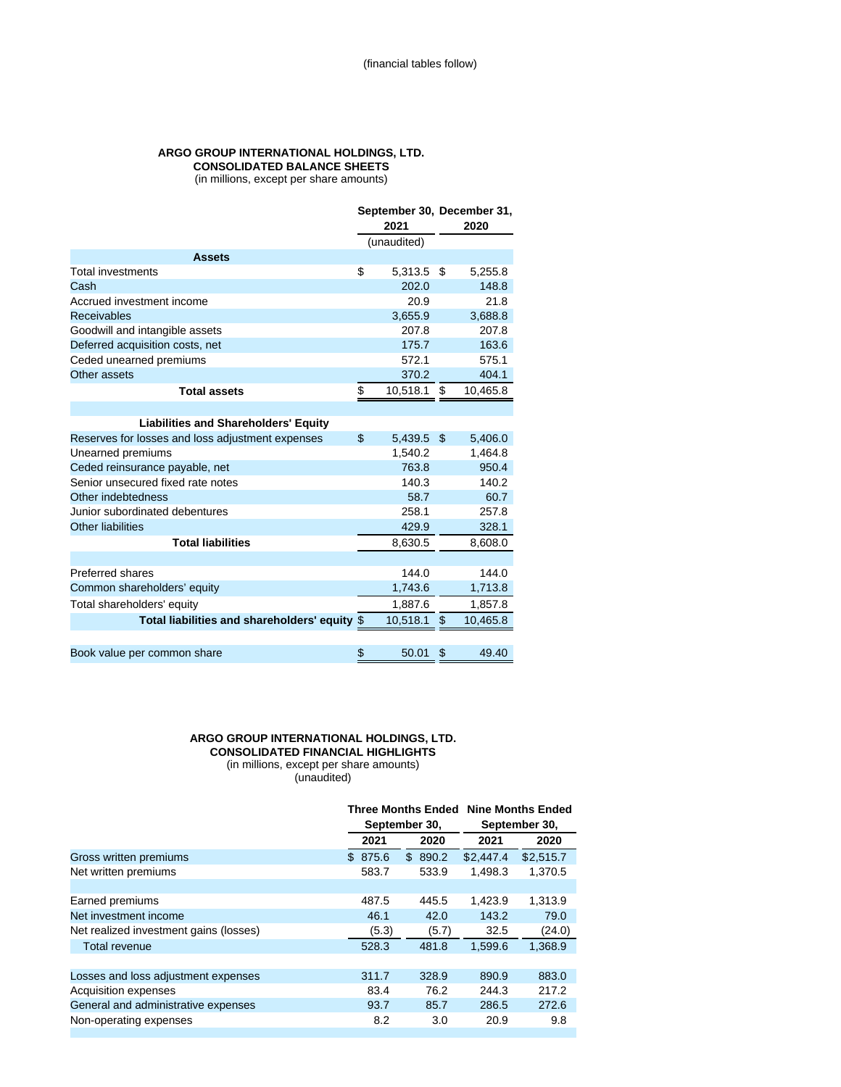# **ARGO GROUP INTERNATIONAL HOLDINGS, LTD. CONSOLIDATED BALANCE SHEETS**

(in millions, except per share amounts)

|                                                  | September 30, December 31, |             |    |          |
|--------------------------------------------------|----------------------------|-------------|----|----------|
|                                                  |                            | 2021        |    | 2020     |
|                                                  |                            | (unaudited) |    |          |
| <b>Assets</b>                                    |                            |             |    |          |
| <b>Total investments</b>                         | \$                         | 5,313.5     | \$ | 5,255.8  |
| Cash                                             |                            | 202.0       |    | 148.8    |
| Accrued investment income                        |                            | 20.9        |    | 21.8     |
| <b>Receivables</b>                               |                            | 3,655.9     |    | 3,688.8  |
| Goodwill and intangible assets                   |                            | 207.8       |    | 207.8    |
| Deferred acquisition costs, net                  |                            | 175.7       |    | 163.6    |
| Ceded unearned premiums                          |                            | 572.1       |    | 575.1    |
| Other assets                                     |                            | 370.2       |    | 404.1    |
| <b>Total assets</b>                              | \$                         | 10,518.1    | S  | 10,465.8 |
|                                                  |                            |             |    |          |
| <b>Liabilities and Shareholders' Equity</b>      |                            |             |    |          |
| Reserves for losses and loss adjustment expenses | \$                         | 5,439.5     | \$ | 5,406.0  |
| Unearned premiums                                |                            | 1,540.2     |    | 1,464.8  |
| Ceded reinsurance payable, net                   |                            | 763.8       |    | 950.4    |
| Senior unsecured fixed rate notes                |                            | 140.3       |    | 140.2    |
| Other indebtedness                               |                            | 58.7        |    | 60.7     |
| Junior subordinated debentures                   |                            | 258.1       |    | 257.8    |
| <b>Other liabilities</b>                         |                            | 429.9       |    | 328.1    |
| <b>Total liabilities</b>                         |                            | 8,630.5     |    | 8,608.0  |
|                                                  |                            |             |    |          |
| Preferred shares                                 |                            | 144.0       |    | 144.0    |
| Common shareholders' equity                      |                            | 1,743.6     |    | 1,713.8  |
| Total shareholders' equity                       |                            | 1.887.6     |    | 1,857.8  |
| Total liabilities and shareholders' equity \$    |                            | 10,518.1    | \$ | 10,465.8 |
|                                                  |                            |             |    |          |
| Book value per common share                      | \$                         | 50.01       | \$ | 49.40    |

## **ARGO GROUP INTERNATIONAL HOLDINGS, LTD. CONSOLIDATED FINANCIAL HIGHLIGHTS**

(in millions, except per share amounts)

(unaudited)

|                                        |         | <b>Three Months Ended</b><br>September 30, |           | <b>Nine Months Ended</b><br>September 30, |  |
|----------------------------------------|---------|--------------------------------------------|-----------|-------------------------------------------|--|
|                                        | 2021    | 2020                                       | 2021      | 2020                                      |  |
| Gross written premiums                 | \$875.6 | \$890.2                                    | \$2.447.4 | \$2,515.7                                 |  |
| Net written premiums                   | 583.7   | 533.9                                      | 1.498.3   | 1,370.5                                   |  |
|                                        |         |                                            |           |                                           |  |
| Earned premiums                        | 487.5   | 445.5                                      | 1.423.9   | 1,313.9                                   |  |
| Net investment income                  | 46.1    | 42.0                                       | 143.2     | 79.0                                      |  |
| Net realized investment gains (losses) | (5.3)   | (5.7)                                      | 32.5      | (24.0)                                    |  |
| <b>Total revenue</b>                   | 528.3   | 481.8                                      | 1,599.6   | 1,368.9                                   |  |
|                                        |         |                                            |           |                                           |  |
| Losses and loss adjustment expenses    | 311.7   | 328.9                                      | 890.9     | 883.0                                     |  |
| Acquisition expenses                   | 83.4    | 76.2                                       | 244.3     | 217.2                                     |  |
| General and administrative expenses    | 93.7    | 85.7                                       | 286.5     | 272.6                                     |  |
| Non-operating expenses                 | 8.2     | 3.0                                        | 20.9      | 9.8                                       |  |
|                                        |         |                                            |           |                                           |  |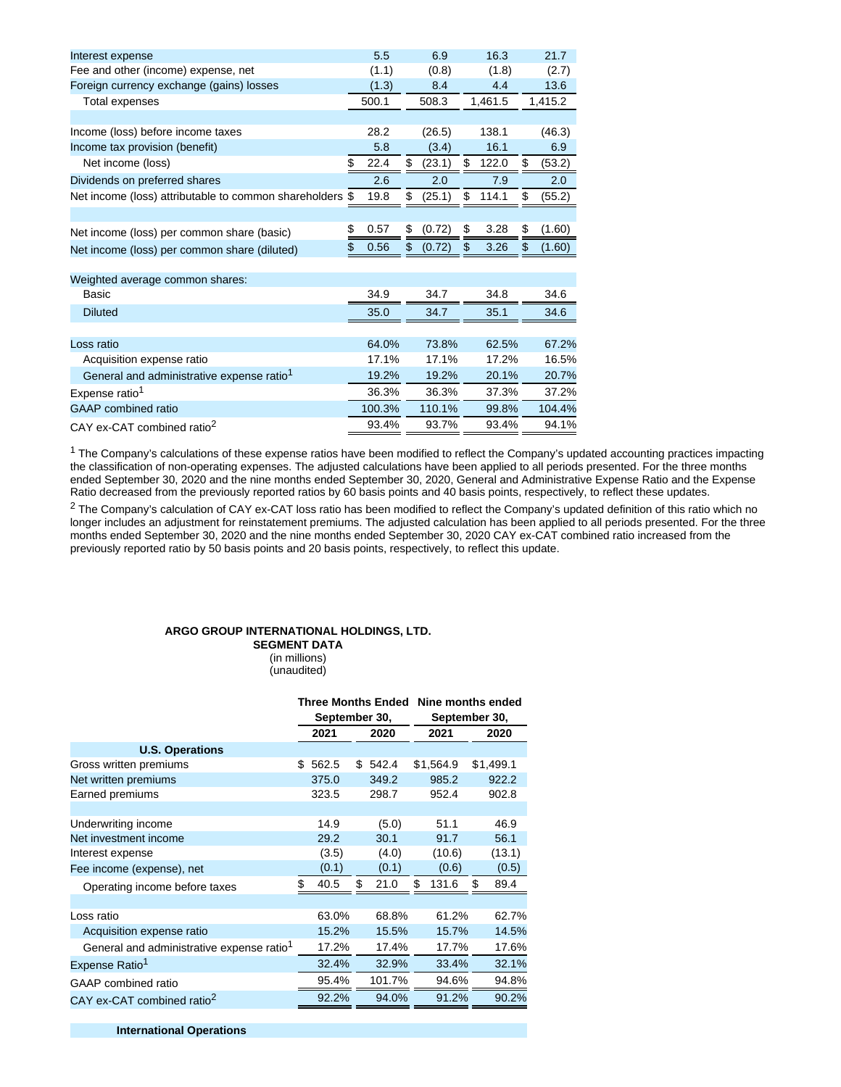| Interest expense                                         | 5.5        | 6.9          | 16.3        | 21.7         |
|----------------------------------------------------------|------------|--------------|-------------|--------------|
| Fee and other (income) expense, net                      | (1.1)      | (0.8)        | (1.8)       | (2.7)        |
| Foreign currency exchange (gains) losses                 | (1.3)      | 8.4          | 4.4         | 13.6         |
| Total expenses                                           | 500.1      | 508.3        | 1,461.5     | 1,415.2      |
|                                                          |            |              |             |              |
| Income (loss) before income taxes                        | 28.2       | (26.5)       | 138.1       | (46.3)       |
| Income tax provision (benefit)                           | 5.8        | (3.4)        | 16.1        | 6.9          |
| Net income (loss)                                        | \$<br>22.4 | \$<br>(23.1) | \$<br>122.0 | \$<br>(53.2) |
| Dividends on preferred shares                            | 2.6        | 2.0          | 7.9         | 2.0          |
| Net income (loss) attributable to common shareholders \$ | 19.8       | \$<br>(25.1) | \$<br>114.1 | \$<br>(55.2) |
|                                                          |            |              |             |              |
| Net income (loss) per common share (basic)               | \$<br>0.57 | \$<br>(0.72) | \$<br>3.28  | \$<br>(1.60) |
| Net income (loss) per common share (diluted)             | \$<br>0.56 | \$<br>(0.72) | \$<br>3.26  | \$<br>(1.60) |
|                                                          |            |              |             |              |
| Weighted average common shares:                          |            |              |             |              |
| <b>Basic</b>                                             | 34.9       | 34.7         | 34.8        | 34.6         |
| <b>Diluted</b>                                           | 35.0       | 34.7         | 35.1        | 34.6         |
|                                                          |            |              |             |              |
| Loss ratio                                               | 64.0%      | 73.8%        | 62.5%       | 67.2%        |
| Acquisition expense ratio                                | 17.1%      | 17.1%        | 17.2%       | 16.5%        |
| General and administrative expense ratio <sup>1</sup>    | 19.2%      | 19.2%        | 20.1%       | 20.7%        |
| Expense ratio <sup>1</sup>                               | 36.3%      | 36.3%        | 37.3%       | 37.2%        |
| <b>GAAP</b> combined ratio                               | 100.3%     | 110.1%       | 99.8%       | 104.4%       |
| CAY ex-CAT combined ratio <sup>2</sup>                   | 93.4%      | 93.7%        | 93.4%       | 94.1%        |
|                                                          |            |              |             |              |

 $1$  The Company's calculations of these expense ratios have been modified to reflect the Company's updated accounting practices impacting the classification of non-operating expenses. The adjusted calculations have been applied to all periods presented. For the three months ended September 30, 2020 and the nine months ended September 30, 2020, General and Administrative Expense Ratio and the Expense Ratio decreased from the previously reported ratios by 60 basis points and 40 basis points, respectively, to reflect these updates.

<sup>2</sup> The Company's calculation of CAY ex-CAT loss ratio has been modified to reflect the Company's updated definition of this ratio which no longer includes an adjustment for reinstatement premiums. The adjusted calculation has been applied to all periods presented. For the three months ended September 30, 2020 and the nine months ended September 30, 2020 CAY ex-CAT combined ratio increased from the previously reported ratio by 50 basis points and 20 basis points, respectively, to reflect this update.

# **ARGO GROUP INTERNATIONAL HOLDINGS, LTD.**

**SEGMENT DATA** (in millions) (unaudited)

|                                                       | Three Months Ended Nine months ended<br>September 30, |       |     |         |    | September 30, |            |  |  |
|-------------------------------------------------------|-------------------------------------------------------|-------|-----|---------|----|---------------|------------|--|--|
|                                                       |                                                       | 2021  |     | 2020    |    | 2021          | 2020       |  |  |
| <b>U.S. Operations</b>                                |                                                       |       |     |         |    |               |            |  |  |
| Gross written premiums                                | \$                                                    | 562.5 |     | \$542.4 |    | \$1,564.9     | \$1,499.1  |  |  |
| Net written premiums                                  |                                                       | 375.0 |     | 349.2   |    | 985.2         | 922.2      |  |  |
| Earned premiums                                       |                                                       | 323.5 |     | 298.7   |    | 952.4         | 902.8      |  |  |
|                                                       |                                                       |       |     |         |    |               |            |  |  |
| Underwriting income                                   |                                                       | 14.9  |     | (5.0)   |    | 51.1          | 46.9       |  |  |
| Net investment income                                 |                                                       | 29.2  |     | 30.1    |    | 91.7          | 56.1       |  |  |
| Interest expense                                      |                                                       | (3.5) |     | (4.0)   |    | (10.6)        | (13.1)     |  |  |
| Fee income (expense), net                             |                                                       | (0.1) |     | (0.1)   |    | (0.6)         | (0.5)      |  |  |
| Operating income before taxes                         | S                                                     | 40.5  | \$. | 21.0    | \$ | 131.6         | \$<br>89.4 |  |  |
|                                                       |                                                       |       |     |         |    |               |            |  |  |
| Loss ratio                                            |                                                       | 63.0% |     | 68.8%   |    | 61.2%         | 62.7%      |  |  |
| Acquisition expense ratio                             |                                                       | 15.2% |     | 15.5%   |    | 15.7%         | 14.5%      |  |  |
| General and administrative expense ratio <sup>1</sup> |                                                       | 17.2% |     | 17.4%   |    | 17.7%         | 17.6%      |  |  |
| Expense Ratio <sup>1</sup>                            |                                                       | 32.4% |     | 32.9%   |    | 33.4%         | 32.1%      |  |  |
| GAAP combined ratio                                   |                                                       | 95.4% |     | 101.7%  |    | 94.6%         | 94.8%      |  |  |
| CAY ex-CAT combined ratio <sup>2</sup>                |                                                       | 92.2% |     | 94.0%   |    | 91.2%         | 90.2%      |  |  |
|                                                       |                                                       |       |     |         |    |               |            |  |  |

**International Operations**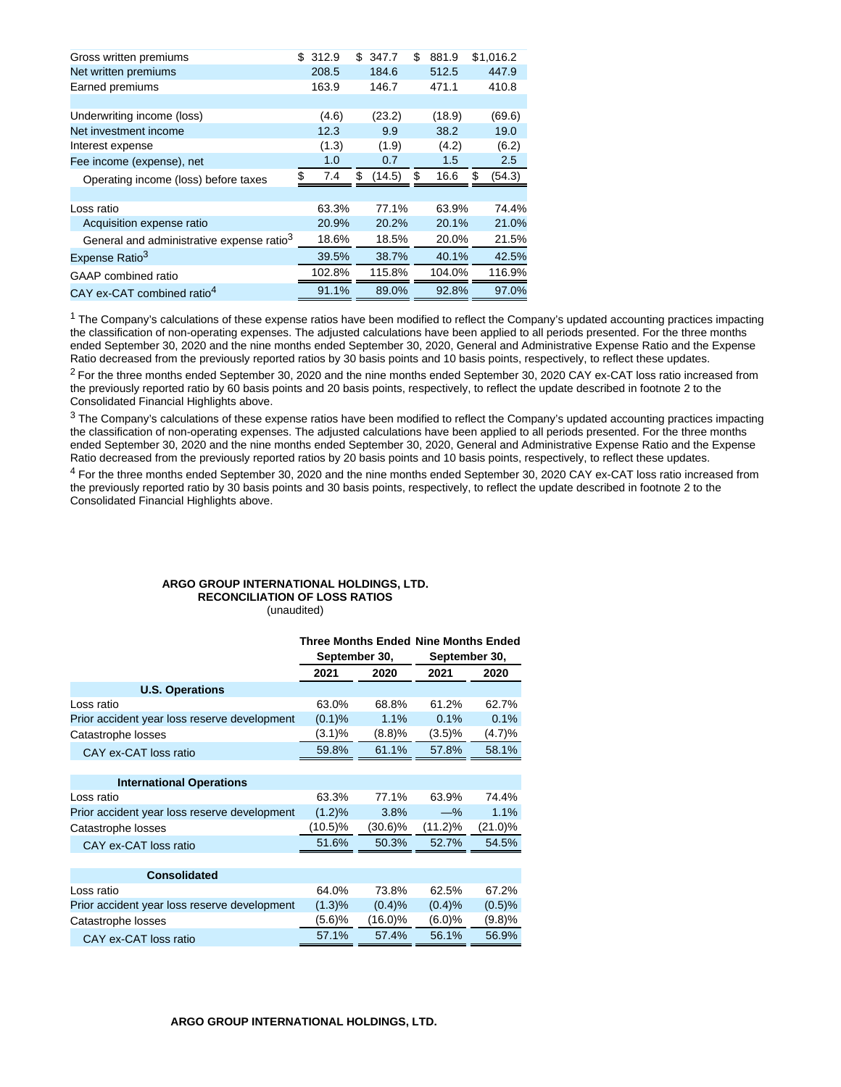| Gross written premiums                                | \$<br>312.9 | \$<br>347.7  | \$<br>881.9 | \$1,016.2    |
|-------------------------------------------------------|-------------|--------------|-------------|--------------|
| Net written premiums                                  | 208.5       | 184.6        | 512.5       | 447.9        |
| Earned premiums                                       | 163.9       | 146.7        | 471.1       | 410.8        |
|                                                       |             |              |             |              |
| Underwriting income (loss)                            | (4.6)       | (23.2)       | (18.9)      | (69.6)       |
| Net investment income                                 | 12.3        | 9.9          | 38.2        | 19.0         |
| Interest expense                                      | (1.3)       | (1.9)        | (4.2)       | (6.2)        |
| Fee income (expense), net                             | 1.0         | 0.7          | 1.5         | 2.5          |
| Operating income (loss) before taxes                  | \$<br>7.4   | \$<br>(14.5) | \$<br>16.6  | \$<br>(54.3) |
|                                                       |             |              |             |              |
| Loss ratio                                            | 63.3%       | 77.1%        | 63.9%       | 74.4%        |
| Acquisition expense ratio                             | 20.9%       | 20.2%        | 20.1%       | 21.0%        |
| General and administrative expense ratio <sup>3</sup> | 18.6%       | 18.5%        | 20.0%       | 21.5%        |
| Expense Ratio <sup>3</sup>                            | 39.5%       | 38.7%        | 40.1%       | 42.5%        |
| GAAP combined ratio                                   | 102.8%      | 115.8%       | 104.0%      | 116.9%       |
| CAY ex-CAT combined ratio <sup>4</sup>                | 91.1%       | 89.0%        | 92.8%       | 97.0%        |

 $1$  The Company's calculations of these expense ratios have been modified to reflect the Company's updated accounting practices impacting the classification of non-operating expenses. The adjusted calculations have been applied to all periods presented. For the three months ended September 30, 2020 and the nine months ended September 30, 2020, General and Administrative Expense Ratio and the Expense Ratio decreased from the previously reported ratios by 30 basis points and 10 basis points, respectively, to reflect these updates.

 $2$  For the three months ended September 30, 2020 and the nine months ended September 30, 2020 CAY ex-CAT loss ratio increased from the previously reported ratio by 60 basis points and 20 basis points, respectively, to reflect the update described in footnote 2 to the Consolidated Financial Highlights above.

 $3$  The Company's calculations of these expense ratios have been modified to reflect the Company's updated accounting practices impacting the classification of non-operating expenses. The adjusted calculations have been applied to all periods presented. For the three months ended September 30, 2020 and the nine months ended September 30, 2020, General and Administrative Expense Ratio and the Expense Ratio decreased from the previously reported ratios by 20 basis points and 10 basis points, respectively, to reflect these updates.

<sup>4</sup> For the three months ended September 30, 2020 and the nine months ended September 30, 2020 CAY ex-CAT loss ratio increased from the previously reported ratio by 30 basis points and 30 basis points, respectively, to reflect the update described in footnote 2 to the Consolidated Financial Highlights above.

# **ARGO GROUP INTERNATIONAL HOLDINGS, LTD.**

**RECONCILIATION OF LOSS RATIOS** (unaudited)

|                                              | <b>Three Months Ended Nine Months Ended</b><br>September 30, |         |            | September 30, |  |
|----------------------------------------------|--------------------------------------------------------------|---------|------------|---------------|--|
|                                              | 2021                                                         | 2020    | 2021       | 2020          |  |
| <b>U.S. Operations</b>                       |                                                              |         |            |               |  |
| Loss ratio                                   | 63.0%                                                        | 68.8%   | 61.2%      | 62.7%         |  |
| Prior accident year loss reserve development | (0.1)%                                                       | 1.1%    | 0.1%       | 0.1%          |  |
| Catastrophe losses                           | (3.1)%                                                       | (8.8)%  | $(3.5)\%$  | (4.7)%        |  |
| CAY ex-CAT loss ratio                        | 59.8%                                                        | 61.1%   | 57.8%      | 58.1%         |  |
|                                              |                                                              |         |            |               |  |
| <b>International Operations</b>              |                                                              |         |            |               |  |
| Loss ratio                                   | 63.3%                                                        | 77.1%   | 63.9%      | 74.4%         |  |
| Prior accident year loss reserve development | $(1.2)\%$                                                    | 3.8%    | $-\%$      | 1.1%          |  |
| Catastrophe losses                           | (10.5)%                                                      | (30.6)% | $(11.2)\%$ | $(21.0)\%$    |  |
| CAY ex-CAT loss ratio                        | 51.6%                                                        | 50.3%   | 52.7%      | 54.5%         |  |
|                                              |                                                              |         |            |               |  |
| <b>Consolidated</b>                          |                                                              |         |            |               |  |
| Loss ratio                                   | 64.0%                                                        | 73.8%   | 62.5%      | 67.2%         |  |
| Prior accident year loss reserve development | (1.3)%                                                       | (0.4)%  | (0.4)%     | (0.5)%        |  |
| Catastrophe losses                           | (5.6)%                                                       | (16.0)% | $(6.0)\%$  | (9.8)%        |  |
| CAY ex-CAT loss ratio                        | 57.1%                                                        | 57.4%   | 56.1%      | 56.9%         |  |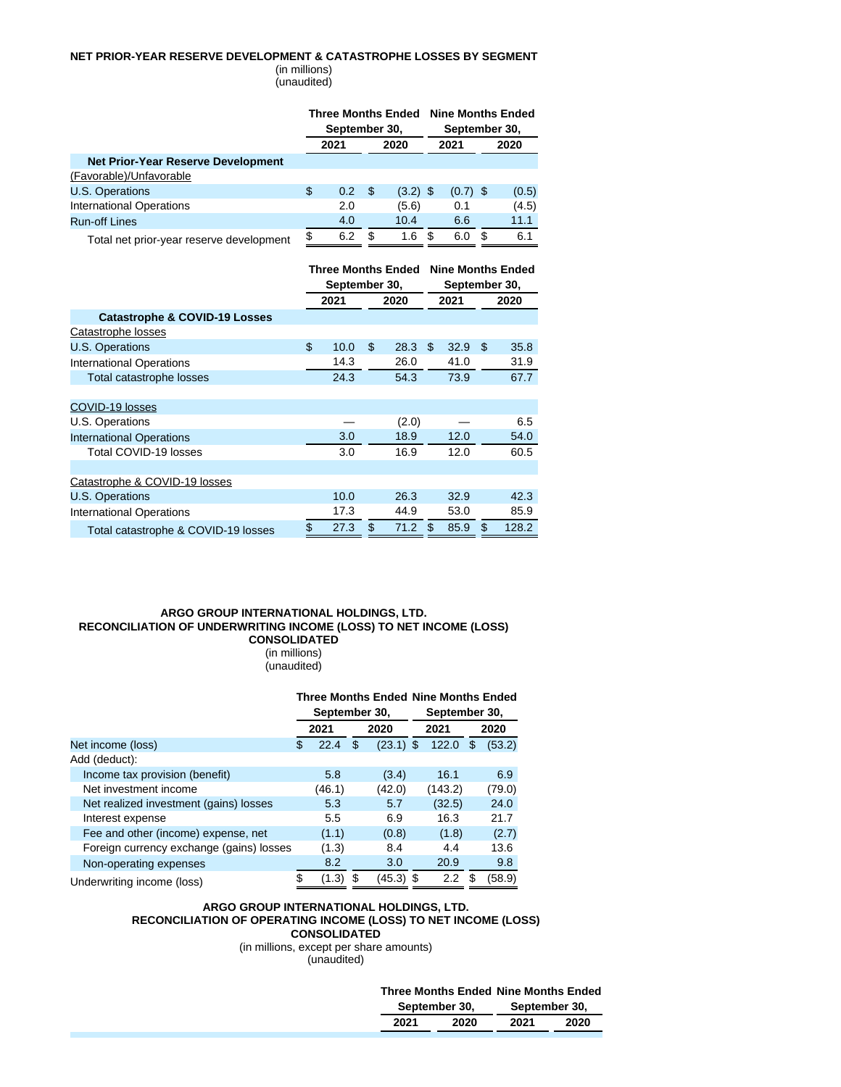### **NET PRIOR-YEAR RESERVE DEVELOPMENT & CATASTROPHE LOSSES BY SEGMENT**

(in millions) (unaudited)

|                                           | <b>Three Months Ended</b><br>September 30, |      |    |            |   | <b>Nine Months Ended</b><br>September 30, |     |       |  |
|-------------------------------------------|--------------------------------------------|------|----|------------|---|-------------------------------------------|-----|-------|--|
|                                           |                                            | 2021 |    | 2020       |   | 2021                                      |     | 2020  |  |
| <b>Net Prior-Year Reserve Development</b> |                                            |      |    |            |   |                                           |     |       |  |
| (Favorable)/Unfavorable                   |                                            |      |    |            |   |                                           |     |       |  |
| U.S. Operations                           | \$                                         | 0.2  | \$ | $(3.2)$ \$ |   | $(0.7)$ \$                                |     | (0.5) |  |
| <b>International Operations</b>           |                                            | 2.0  |    | (5.6)      |   | 0.1                                       |     | (4.5) |  |
| <b>Run-off Lines</b>                      |                                            | 4.0  |    | 10.4       |   | 6.6                                       |     | 11.1  |  |
| Total net prior-year reserve development  | \$                                         | 6.2  | S  | 1.6        | S | 6.0                                       | \$. | 6.1   |  |

| Total het prior-year reserve developmen |  |  |
|-----------------------------------------|--|--|
|                                         |  |  |

|                                          | September 30, | <b>Three Months Ended</b> | September 30, | <b>Nine Months Ended</b> |       |
|------------------------------------------|---------------|---------------------------|---------------|--------------------------|-------|
|                                          | 2021          | 2020                      | 2021          |                          | 2020  |
| <b>Catastrophe &amp; COVID-19 Losses</b> |               |                           |               |                          |       |
| Catastrophe losses                       |               |                           |               |                          |       |
| <b>U.S. Operations</b>                   | \$<br>10.0    | \$<br>28.3                | \$<br>32.9    | \$                       | 35.8  |
| <b>International Operations</b>          | 14.3          | 26.0                      | 41.0          |                          | 31.9  |
| Total catastrophe losses                 | 24.3          | 54.3                      | 73.9          |                          | 67.7  |
|                                          |               |                           |               |                          |       |
| COVID-19 losses                          |               |                           |               |                          |       |
| U.S. Operations                          |               | (2.0)                     |               |                          | 6.5   |
| <b>International Operations</b>          | 3.0           | 18.9                      | 12.0          |                          | 54.0  |
| Total COVID-19 losses                    | 3.0           | 16.9                      | 12.0          |                          | 60.5  |
|                                          |               |                           |               |                          |       |
| Catastrophe & COVID-19 losses            |               |                           |               |                          |       |
| <b>U.S. Operations</b>                   | 10.0          | 26.3                      | 32.9          |                          | 42.3  |
| <b>International Operations</b>          | 17.3          | 44.9                      | 53.0          |                          | 85.9  |
| Total catastrophe & COVID-19 losses      | \$<br>27.3    | \$<br>71.2                | \$<br>85.9    | \$                       | 128.2 |

### **ARGO GROUP INTERNATIONAL HOLDINGS, LTD. RECONCILIATION OF UNDERWRITING INCOME (LOSS) TO NET INCOME (LOSS) CONSOLIDATED**

(in millions) (unaudited)

|                                          |   | September 30, |                   |   | September 30,    | <b>Three Months Ended Nine Months Ended</b> |        |  |
|------------------------------------------|---|---------------|-------------------|---|------------------|---------------------------------------------|--------|--|
|                                          |   | 2021          | 2020              |   | 2021             |                                             | 2020   |  |
| Net income (loss)                        | S | 22.4          | \$<br>$(23.1)$ \$ |   | 122.0            | S                                           | (53.2) |  |
| Add (deduct):                            |   |               |                   |   |                  |                                             |        |  |
| Income tax provision (benefit)           |   | 5.8           | (3.4)             |   | 16.1             |                                             | 6.9    |  |
| Net investment income                    |   | (46.1)        | (42.0)            |   | (143.2)          |                                             | (79.0) |  |
| Net realized investment (gains) losses   |   | 5.3           | 5.7               |   | (32.5)           |                                             | 24.0   |  |
| Interest expense                         |   | 5.5           | 6.9               |   | 16.3             |                                             | 21.7   |  |
| Fee and other (income) expense, net      |   | (1.1)         | (0.8)             |   | (1.8)            |                                             | (2.7)  |  |
| Foreign currency exchange (gains) losses |   | (1.3)         | 8.4               |   | 4.4              |                                             | 13.6   |  |
| Non-operating expenses                   |   | 8.2           | 3.0               |   | 20.9             |                                             | 9.8    |  |
| Underwriting income (loss)               |   | (1.3)         | (45.3)            | S | $2.2\phantom{0}$ |                                             | (58.9) |  |

### **ARGO GROUP INTERNATIONAL HOLDINGS, LTD. RECONCILIATION OF OPERATING INCOME (LOSS) TO NET INCOME (LOSS) CONSOLIDATED**

(in millions, except per share amounts) (unaudited)

**Three Months Ended Nine Months Ended**

|      | September 30, |      | September 30, |
|------|---------------|------|---------------|
| 2021 | 2020          | 2021 | 2020          |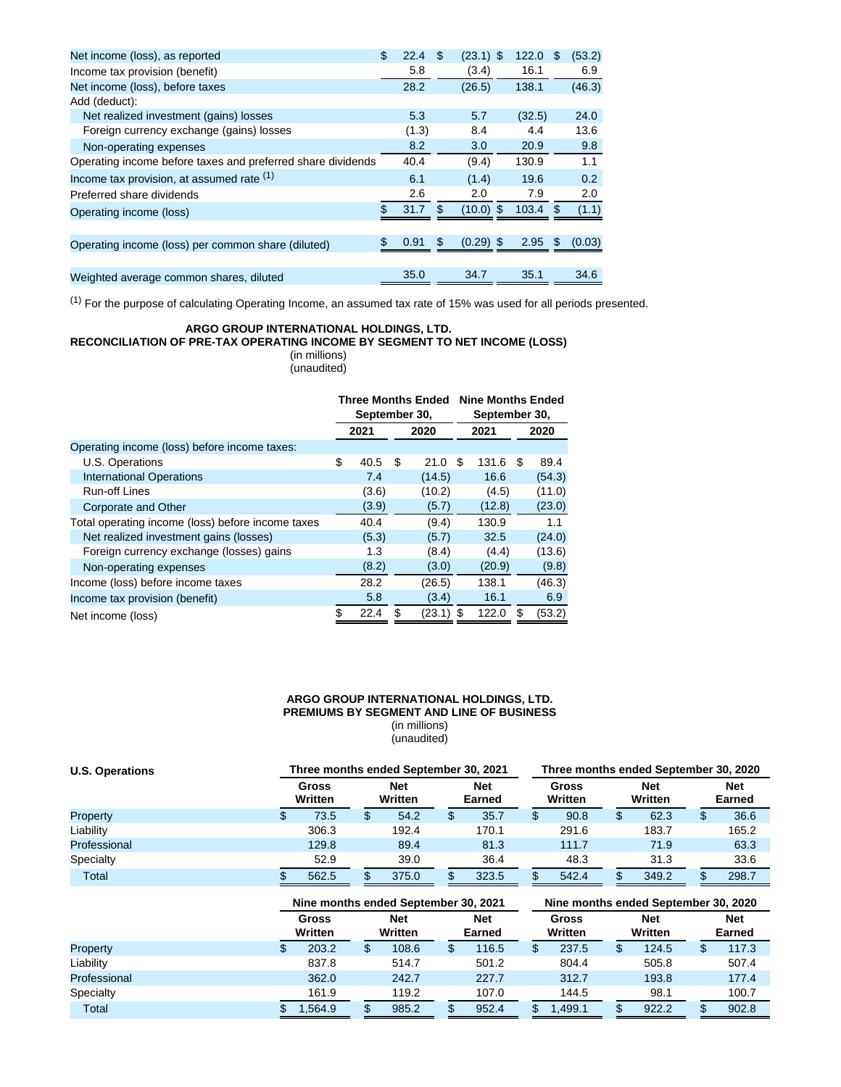| Net income (loss), as reported                              | \$<br>22.4 | \$. | $(23.1)$ \$ | 122.0  | \$. | (53.2) |
|-------------------------------------------------------------|------------|-----|-------------|--------|-----|--------|
| Income tax provision (benefit)                              | 5.8        |     | (3.4)       | 16.1   |     | 6.9    |
| Net income (loss), before taxes                             | 28.2       |     | (26.5)      | 138.1  |     | (46.3) |
| Add (deduct):                                               |            |     |             |        |     |        |
| Net realized investment (gains) losses                      | 5.3        |     | 5.7         | (32.5) |     | 24.0   |
| Foreign currency exchange (gains) losses                    | (1.3)      |     | 8.4         | 4.4    |     | 13.6   |
| Non-operating expenses                                      | 8.2        |     | 3.0         | 20.9   |     | 9.8    |
| Operating income before taxes and preferred share dividends | 40.4       |     | (9.4)       | 130.9  |     | 1.1    |
| Income tax provision, at assumed rate (1)                   | 6.1        |     | (1.4)       | 19.6   |     | 0.2    |
| Preferred share dividends                                   | 2.6        |     | 2.0         | 7.9    |     | 2.0    |
| Operating income (loss)                                     | 31.7       | S   | $(10.0)$ \$ | 103.4  | \$. | (1.1)  |
|                                                             |            |     |             |        |     |        |
| Operating income (loss) per common share (diluted)          | \$<br>0.91 | \$  | $(0.29)$ \$ | 2.95   | \$  | (0.03) |
|                                                             |            |     |             |        |     |        |
| Weighted average common shares, diluted                     | 35.0       |     | 34.7        | 35.1   |     | 34.6   |

 $(1)$  For the purpose of calculating Operating Income, an assumed tax rate of 15% was used for all periods presented.

# **ARGO GROUP INTERNATIONAL HOLDINGS, LTD.**

**RECONCILIATION OF PRE-TAX OPERATING INCOME BY SEGMENT TO NET INCOME (LOSS)**

(in millions) (unaudited)

|                                                   | <b>Three Months Ended</b><br>September 30, |       |   |        |     | <b>Nine Months Ended</b><br>September 30, |      |        |  |
|---------------------------------------------------|--------------------------------------------|-------|---|--------|-----|-------------------------------------------|------|--------|--|
|                                                   | 2021<br>2020                               |       |   | 2021   |     |                                           | 2020 |        |  |
| Operating income (loss) before income taxes:      |                                            |       |   |        |     |                                           |      |        |  |
| U.S. Operations                                   | \$                                         | 40.5  | S | 21.0   | \$  | 131.6                                     | S    | 89.4   |  |
| <b>International Operations</b>                   |                                            | 7.4   |   | (14.5) |     | 16.6                                      |      | (54.3) |  |
| Run-off Lines                                     |                                            | (3.6) |   | (10.2) |     | (4.5)                                     |      | (11.0) |  |
| Corporate and Other                               |                                            | (3.9) |   | (5.7)  |     | (12.8)                                    |      | (23.0) |  |
| Total operating income (loss) before income taxes |                                            | 40.4  |   | (9.4)  |     | 130.9                                     |      | 1.1    |  |
| Net realized investment gains (losses)            |                                            | (5.3) |   | (5.7)  |     | 32.5                                      |      | (24.0) |  |
| Foreign currency exchange (losses) gains          |                                            | 1.3   |   | (8.4)  |     | (4.4)                                     |      | (13.6) |  |
| Non-operating expenses                            |                                            | (8.2) |   | (3.0)  |     | (20.9)                                    |      | (9.8)  |  |
| Income (loss) before income taxes                 |                                            | 28.2  |   | (26.5) |     | 138.1                                     |      | (46.3) |  |
| Income tax provision (benefit)                    |                                            | 5.8   |   | (3.4)  |     | 16.1                                      |      | 6.9    |  |
| Net income (loss)                                 | \$                                         | 22.4  |   | (23.1) | -\$ | 122.0                                     |      | (53.2) |  |

#### **ARGO GROUP INTERNATIONAL HOLDINGS, LTD. PREMIUMS BY SEGMENT AND LINE OF BUSINESS** (in millions) (unaudited)

| <b>U.S. Operations</b> | Three months ended September 30, 2021 |   |                       |  |                      |  |                         | Three months ended September 30, 2020 |                       |    |                      |  |  |  |
|------------------------|---------------------------------------|---|-----------------------|--|----------------------|--|-------------------------|---------------------------------------|-----------------------|----|----------------------|--|--|--|
|                        | <b>Gross</b><br>Written               |   | <b>Net</b><br>Written |  | <b>Net</b><br>Earned |  | <b>Gross</b><br>Written |                                       | <b>Net</b><br>Written |    | <b>Net</b><br>Earned |  |  |  |
| Property               | 73.5                                  | S | 54.2                  |  | 35.7                 |  | 90.8                    |                                       | 62.3                  | ۰D | 36.6                 |  |  |  |
| Liability              | 306.3                                 |   | 192.4                 |  | 170.1                |  | 291.6                   |                                       | 183.7                 |    | 165.2                |  |  |  |
| Professional           | 129.8                                 |   | 89.4                  |  | 81.3                 |  | 111.7                   |                                       | 71.9                  |    | 63.3                 |  |  |  |
| Specialty              | 52.9                                  |   | 39.0                  |  | 36.4                 |  | 48.3                    |                                       | 31.3                  |    | 33.6                 |  |  |  |
| Total                  | 562.5                                 |   | 375.0                 |  | 323.5                |  | 542.4                   |                                       | 349.2                 |    | 298.7                |  |  |  |

|              |                         | Nine months ended September 30, 2021 |                      | Nine months ended September 30, 2020 |                       |                      |  |  |  |  |  |
|--------------|-------------------------|--------------------------------------|----------------------|--------------------------------------|-----------------------|----------------------|--|--|--|--|--|
|              | <b>Gross</b><br>Written | <b>Net</b><br>Written                | <b>Net</b><br>Earned | <b>Gross</b><br>Written              | <b>Net</b><br>Written | <b>Net</b><br>Earned |  |  |  |  |  |
| Property     | 203.2                   | 108.6<br>S                           | 116.5                | 237.5<br>\$                          | 124.5                 | 117.3                |  |  |  |  |  |
| Liability    | 837.8                   | 514.7                                | 501.2                | 804.4                                | 505.8                 | 507.4                |  |  |  |  |  |
| Professional | 362.0                   | 242.7                                | 227.7                | 312.7                                | 193.8                 | 177.4                |  |  |  |  |  |
| Specialty    | 161.9                   | 119.2                                | 107.0                | 144.5                                | 98.1                  | 100.7                |  |  |  |  |  |
| Total        | 1,564.9                 | 985.2                                | 952.4                | .499.1                               | 922.2                 | 902.8                |  |  |  |  |  |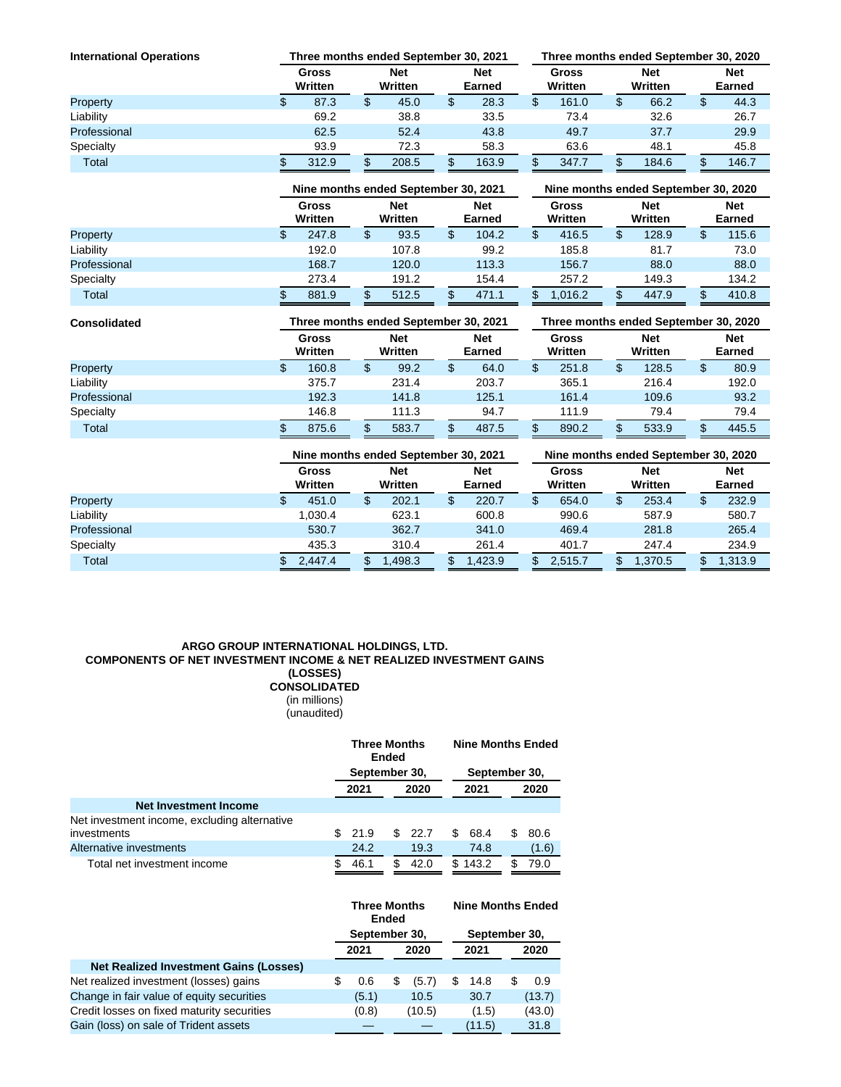| <b>International Operations</b> | Three months ended September 30, 2021 |    |                       | Three months ended September 30, 2020 |                      |                  |       |                       |       |        |                             |
|---------------------------------|---------------------------------------|----|-----------------------|---------------------------------------|----------------------|------------------|-------|-----------------------|-------|--------|-----------------------------|
|                                 | <b>Gross</b><br>Written               |    | <b>Net</b><br>Written |                                       | <b>Net</b><br>Earned | Gross<br>Written |       | <b>Net</b><br>Written |       |        | <b>Net</b><br><b>Earned</b> |
| Property                        | 87.3                                  | \$ | 45.0                  |                                       | 28.3                 | \$               | 161.0 |                       | 66.2  | œ<br>Φ | 44.3                        |
| Liability                       | 69.2                                  |    | 38.8                  |                                       | 33.5                 |                  | 73.4  |                       | 32.6  |        | 26.7                        |
| Professional                    | 62.5                                  |    | 52.4                  |                                       | 43.8                 |                  | 49.7  |                       | 37.7  |        | 29.9                        |
| Specialty                       | 93.9                                  |    | 72.3                  |                                       | 58.3                 |                  | 63.6  |                       | 48.1  |        | 45.8                        |
| <b>Total</b>                    | 312.9                                 | œ  | 208.5                 |                                       | 163.9                | œ                | 347.7 |                       | 184.6 | œ      | 146.7                       |

|              | Nine months ended September 30, 2021 |                       |       |                      |       |                  | Nine months ended September 30, 2020 |                       |       |    |                             |  |  |
|--------------|--------------------------------------|-----------------------|-------|----------------------|-------|------------------|--------------------------------------|-----------------------|-------|----|-----------------------------|--|--|
|              | <b>Gross</b><br>Written              | <b>Net</b><br>Written |       | <b>Net</b><br>Earned |       | Gross<br>Written |                                      | <b>Net</b><br>Written |       |    | <b>Net</b><br><b>Earned</b> |  |  |
| Property     | 247.8                                | \$                    | 93.5  |                      | 104.2 | \$               | 416.5                                |                       | 128.9 | \$ | 115.6                       |  |  |
| Liability    | 192.0                                |                       | 107.8 |                      | 99.2  |                  | 185.8                                |                       | 81.7  |    | 73.0                        |  |  |
| Professional | 168.7                                |                       | 120.0 |                      | 113.3 |                  | 156.7                                |                       | 88.0  |    | 88.0                        |  |  |
| Specialty    | 273.4                                |                       | 191.2 |                      | 154.4 |                  | 257.2                                |                       | 149.3 |    | 134.2                       |  |  |
| Total        | 881.9                                |                       | 512.5 |                      | 471.1 |                  | 1.016.2                              |                       | 447.9 |    | 410.8                       |  |  |

| <b>Consolidated</b> | Three months ended September 30, 2021 |    |                       |  |                      |    | Three months ended September 30, 2020 |                       |       |        |                      |  |  |
|---------------------|---------------------------------------|----|-----------------------|--|----------------------|----|---------------------------------------|-----------------------|-------|--------|----------------------|--|--|
|                     | <b>Gross</b><br>Written               |    | <b>Net</b><br>Written |  | <b>Net</b><br>Earned |    | Gross<br>Written                      | <b>Net</b><br>Written |       |        | <b>Net</b><br>Earned |  |  |
| Property            | 160.8                                 | \$ | 99.2                  |  | 64.0                 | \$ | 251.8                                 |                       | 128.5 | œ<br>D | 80.9                 |  |  |
| Liability           | 375.7                                 |    | 231.4                 |  | 203.7                |    | 365.1                                 |                       | 216.4 |        | 192.0                |  |  |
| Professional        | 192.3                                 |    | 141.8                 |  | 125.1                |    | 161.4                                 |                       | 109.6 |        | 93.2                 |  |  |
| Specialty           | 146.8                                 |    | 111.3                 |  | 94.7                 |    | 111.9                                 |                       | 79.4  |        | 79.4                 |  |  |
| Total               | 875.6                                 |    | 583.7                 |  | 487.5                |    | 890.2                                 |                       | 533.9 | œ      | 445.5                |  |  |

|              |                         | Nine months ended September 30, 2021 |                      | Nine months ended September 30, 2020 |                       |                      |  |  |  |  |  |
|--------------|-------------------------|--------------------------------------|----------------------|--------------------------------------|-----------------------|----------------------|--|--|--|--|--|
|              | <b>Gross</b><br>Written | <b>Net</b><br>Written                | <b>Net</b><br>Earned | <b>Gross</b><br>Written              | <b>Net</b><br>Written | <b>Net</b><br>Earned |  |  |  |  |  |
| Property     | 451.0                   | 202.1                                | 220.7                | 654.0<br>\$                          | 253.4                 | 232.9<br>\$          |  |  |  |  |  |
| Liability    | 1.030.4                 | 623.1                                | 600.8                | 990.6                                | 587.9                 | 580.7                |  |  |  |  |  |
| Professional | 530.7                   | 362.7                                | 341.0                | 469.4                                | 281.8                 | 265.4                |  |  |  |  |  |
| Specialty    | 435.3                   | 310.4                                | 261.4                | 401.7                                | 247.4                 | 234.9                |  |  |  |  |  |
| Total        | 2,447.4                 | ,498.3                               | 1.423.9              | 2.515.7                              | 1,370.5               | 1,313.9              |  |  |  |  |  |

### **ARGO GROUP INTERNATIONAL HOLDINGS, LTD. COMPONENTS OF NET INVESTMENT INCOME & NET REALIZED INVESTMENT GAINS (LOSSES) CONSOLIDATED**

(in millions) (unaudited)

|                                              | <b>Three Months</b><br>Ended |               |  |        |     | <b>Nine Months Ended</b> |   |       |  |  |
|----------------------------------------------|------------------------------|---------------|--|--------|-----|--------------------------|---|-------|--|--|
|                                              |                              | September 30, |  |        |     | September 30,            |   |       |  |  |
|                                              |                              | 2021          |  | 2020   |     | 2021                     |   | 2020  |  |  |
| <b>Net Investment Income</b>                 |                              |               |  |        |     |                          |   |       |  |  |
| Net investment income, excluding alternative |                              |               |  |        |     |                          |   |       |  |  |
| investments                                  | S.                           | 21.9          |  | \$22.7 | S   | 68.4                     | S | 80.6  |  |  |
| Alternative investments                      |                              | 24.2          |  | 19.3   |     | 74.8                     |   | (1.6) |  |  |
| Total net investment income                  |                              | 46.1          |  | 42.0   | \$. | 143.2                    |   | 79.0  |  |  |

|                                               | <b>Three Months</b><br><b>Ended</b><br>September 30, |       |   |        |      | <b>Nine Months Ended</b> |   |        |
|-----------------------------------------------|------------------------------------------------------|-------|---|--------|------|--------------------------|---|--------|
|                                               |                                                      |       |   |        |      | September 30,            |   |        |
|                                               | 2021                                                 |       |   | 2020   | 2021 |                          |   | 2020   |
| <b>Net Realized Investment Gains (Losses)</b> |                                                      |       |   |        |      |                          |   |        |
| Net realized investment (losses) gains        |                                                      | 0.6   | S | (5.7)  | S    | 14.8                     | S | 0.9    |
| Change in fair value of equity securities     |                                                      | (5.1) |   | 10.5   |      | 30.7                     |   | (13.7) |
| Credit losses on fixed maturity securities    |                                                      | (0.8) |   | (10.5) |      | (1.5)                    |   | (43.0) |
| Gain (loss) on sale of Trident assets         |                                                      |       |   |        |      | (11.5)                   |   | 31.8   |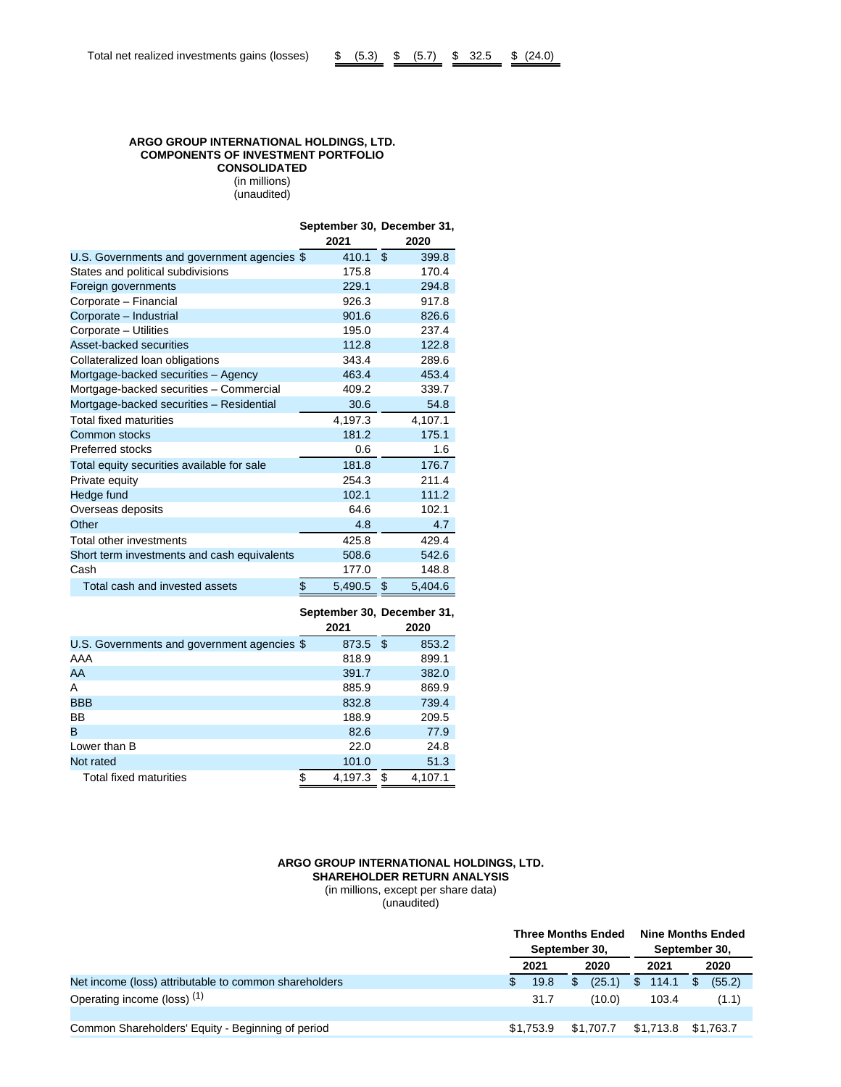### **ARGO GROUP INTERNATIONAL HOLDINGS, LTD. COMPONENTS OF INVESTMENT PORTFOLIO CONSOLIDATED** (in millions) (unaudited)

**September 30, December 31,**

|                                             | 2021          | 2020          |
|---------------------------------------------|---------------|---------------|
| U.S. Governments and government agencies \$ | 410.1         | \$<br>399.8   |
| States and political subdivisions           | 175.8         | 170.4         |
| Foreign governments                         | 229.1         | 294.8         |
| Corporate - Financial                       | 926.3         | 917.8         |
| Corporate - Industrial                      | 901.6         | 826.6         |
| Corporate - Utilities                       | 195.0         | 237.4         |
| Asset-backed securities                     | 112.8         | 122.8         |
| Collateralized loan obligations             | 343.4         | 289.6         |
| Mortgage-backed securities - Agency         | 463.4         | 453.4         |
| Mortgage-backed securities - Commercial     | 409.2         | 339.7         |
| Mortgage-backed securities - Residential    | 30.6          | 54.8          |
| <b>Total fixed maturities</b>               | 4,197.3       | 4,107.1       |
| Common stocks                               | 181.2         | 175.1         |
| Preferred stocks                            | 0.6           | 1.6           |
| Total equity securities available for sale  | 181.8         | 176.7         |
| Private equity                              | 254.3         | 211.4         |
| Hedge fund                                  | 102.1         | 111.2         |
| Overseas deposits                           | 64.6          | 102.1         |
| Other                                       | 4.8           | 4.7           |
| Total other investments                     | 425.8         | 429.4         |
| Short term investments and cash equivalents | 508.6         | 542.6         |
| Cash                                        | 177.0         | 148.8         |
| Total cash and invested assets              | \$<br>5,490.5 | \$<br>5,404.6 |

**September 30, December 31,**

|                                             | 2021          | 2020         |
|---------------------------------------------|---------------|--------------|
| U.S. Governments and government agencies \$ | 873.5         | 853.2<br>S   |
| AAA                                         | 818.9         | 899.1        |
| AA                                          | 391.7         | 382.0        |
| A                                           | 885.9         | 869.9        |
| <b>BBB</b>                                  | 832.8         | 739.4        |
| <b>BB</b>                                   | 188.9         | 209.5        |
| B                                           | 82.6          | 77.9         |
| Lower than B                                | 22.0          | 24.8         |
| Not rated                                   | 101.0         | 51.3         |
| Total fixed maturities                      | \$<br>4.197.3 | 4.107.1<br>S |

# **ARGO GROUP INTERNATIONAL HOLDINGS, LTD. SHAREHOLDER RETURN ANALYSIS** (in millions, except per share data)

(unaudited)

|                                                       |           | <b>Three Months Ended</b><br>September 30, | <b>Nine Months Ended</b><br>September 30, |                |  |
|-------------------------------------------------------|-----------|--------------------------------------------|-------------------------------------------|----------------|--|
|                                                       | 2021      | 2020                                       | 2021                                      | 2020           |  |
| Net income (loss) attributable to common shareholders | 19.8      | (25.1)<br>\$                               | \$114.1                                   | (55.2)<br>- \$ |  |
| Operating income (loss) <sup>(1)</sup>                | 31.7      | (10.0)                                     | 103.4                                     | (1.1)          |  |
| Common Shareholders' Equity - Beginning of period     | \$1.753.9 | \$1.707.7                                  | \$1,713.8 \$1,763.7                       |                |  |